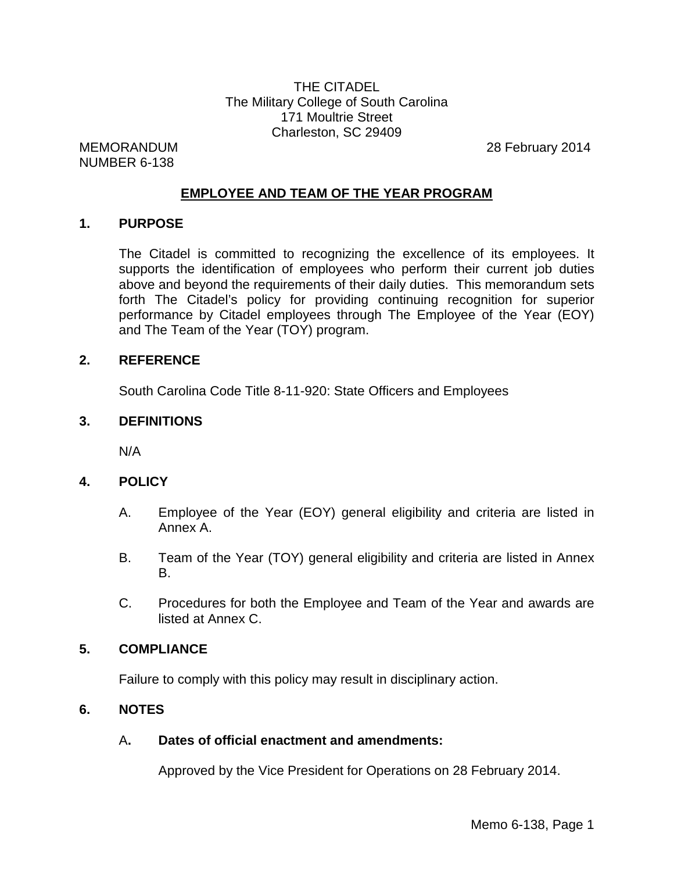# THE CITADEL The Military College of South Carolina 171 Moultrie Street Charleston, SC 29409

NUMBER 6-138

MEMORANDUM 28 February 2014

# **EMPLOYEE AND TEAM OF THE YEAR PROGRAM**

## **1. PURPOSE**

The Citadel is committed to recognizing the excellence of its employees. It supports the identification of employees who perform their current job duties above and beyond the requirements of their daily duties. This memorandum sets forth The Citadel's policy for providing continuing recognition for superior performance by Citadel employees through The Employee of the Year (EOY) and The Team of the Year (TOY) program.

#### **2. REFERENCE**

South Carolina Code Title 8-11-920: State Officers and Employees

#### **3. DEFINITIONS**

N/A

## **4. POLICY**

- A. Employee of the Year (EOY) general eligibility and criteria are listed in Annex A.
- B. Team of the Year (TOY) general eligibility and criteria are listed in Annex B.
- C. Procedures for both the Employee and Team of the Year and awards are listed at Annex C.

## **5. COMPLIANCE**

Failure to comply with this policy may result in disciplinary action.

## **6. NOTES**

## A**. Dates of official enactment and amendments:**

Approved by the Vice President for Operations on 28 February 2014.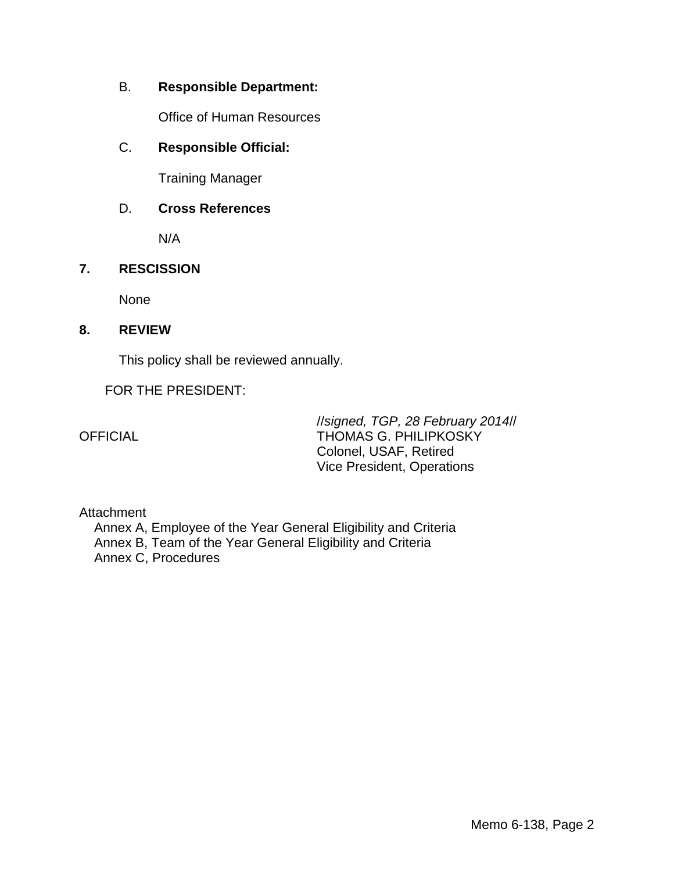# B. **Responsible Department:**

Office of Human Resources

# C. **Responsible Official:**

Training Manager

# D. **Cross References**

N/A

# **7. RESCISSION**

None

# **8. REVIEW**

This policy shall be reviewed annually.

# FOR THE PRESIDENT:

//*signed, TGP, 28 February 2014*// OFFICIAL THOMAS G. PHILIPKOSKY Colonel, USAF, Retired Vice President, Operations

## **Attachment**

Annex A, Employee of the Year General Eligibility and Criteria Annex B, Team of the Year General Eligibility and Criteria Annex C, Procedures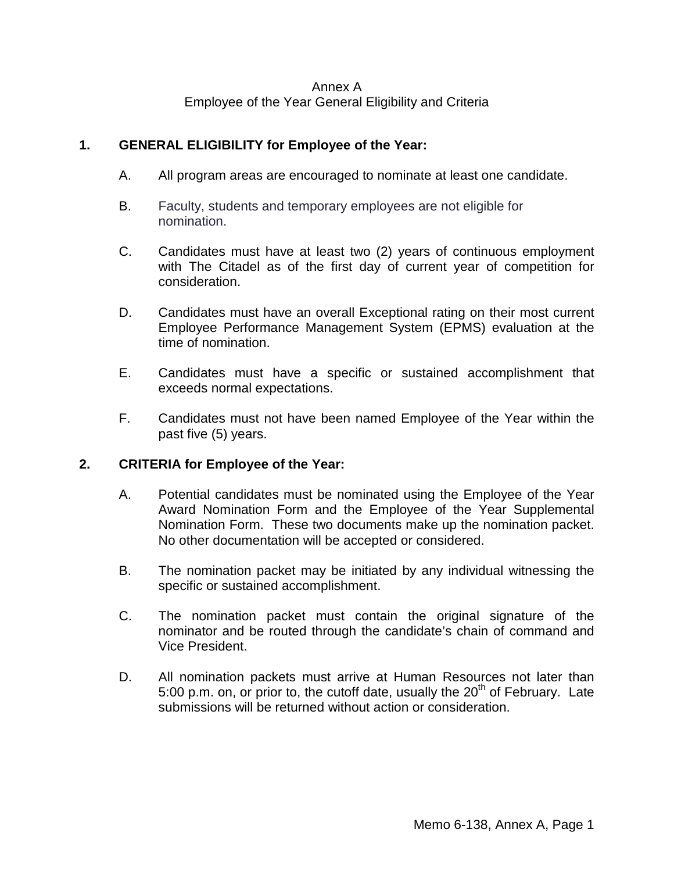#### Annex A Employee of the Year General Eligibility and Criteria

# **1. GENERAL ELIGIBILITY for Employee of the Year:**

- A. All program areas are encouraged to nominate at least one candidate.
- B. Faculty, students and temporary employees are not eligible for nomination.
- C. Candidates must have at least two (2) years of continuous employment with The Citadel as of the first day of current year of competition for consideration.
- D. Candidates must have an overall Exceptional rating on their most current Employee Performance Management System (EPMS) evaluation at the time of nomination.
- E. Candidates must have a specific or sustained accomplishment that exceeds normal expectations.
- F. Candidates must not have been named Employee of the Year within the past five (5) years.

## **2. CRITERIA for Employee of the Year:**

- A. Potential candidates must be nominated using the Employee of the Year Award Nomination Form and the Employee of the Year Supplemental Nomination Form. These two documents make up the nomination packet. No other documentation will be accepted or considered.
- B. The nomination packet may be initiated by any individual witnessing the specific or sustained accomplishment.
- C. The nomination packet must contain the original signature of the nominator and be routed through the candidate's chain of command and Vice President.
- D. All nomination packets must arrive at Human Resources not later than 5:00 p.m. on, or prior to, the cutoff date, usually the  $20<sup>th</sup>$  of February. Late submissions will be returned without action or consideration.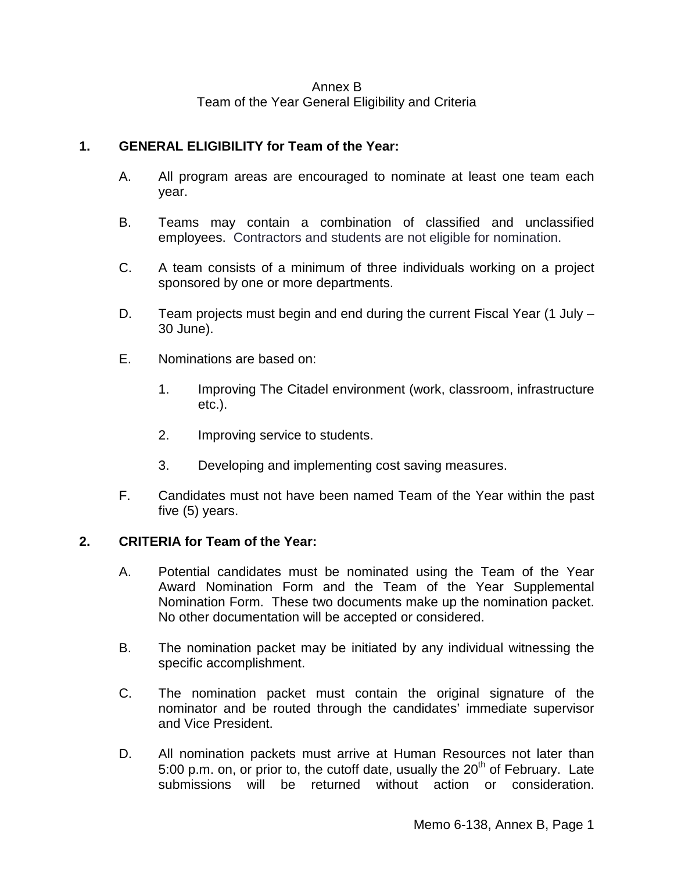## Annex B Team of the Year General Eligibility and Criteria

# **1. GENERAL ELIGIBILITY for Team of the Year:**

- A. All program areas are encouraged to nominate at least one team each year.
- B. Teams may contain a combination of classified and unclassified employees. Contractors and students are not eligible for nomination.
- C. A team consists of a minimum of three individuals working on a project sponsored by one or more departments.
- D. Team projects must begin and end during the current Fiscal Year (1 July 30 June).
- E. Nominations are based on:
	- 1. Improving The Citadel environment (work, classroom, infrastructure etc.).
	- 2. Improving service to students.
	- 3. Developing and implementing cost saving measures.
- F. Candidates must not have been named Team of the Year within the past five (5) years.

# **2. CRITERIA for Team of the Year:**

- A. Potential candidates must be nominated using the Team of the Year Award Nomination Form and the Team of the Year Supplemental Nomination Form. These two documents make up the nomination packet. No other documentation will be accepted or considered.
- B. The nomination packet may be initiated by any individual witnessing the specific accomplishment.
- C. The nomination packet must contain the original signature of the nominator and be routed through the candidates' immediate supervisor and Vice President.
- D. All nomination packets must arrive at Human Resources not later than 5:00 p.m. on, or prior to, the cutoff date, usually the  $20<sup>th</sup>$  of February. Late submissions will be returned without action or consideration.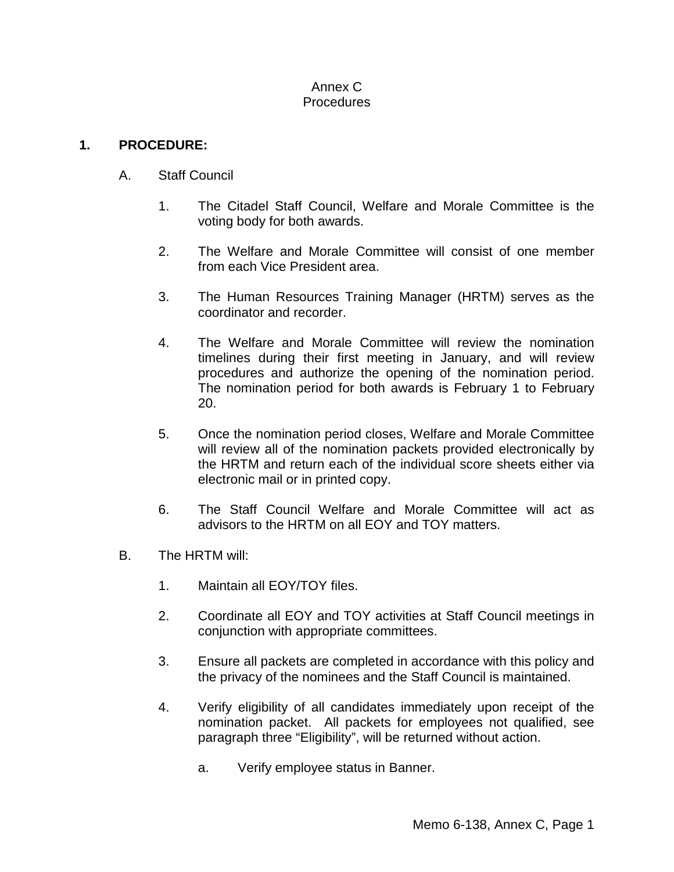#### Annex C Procedures

# **1. PROCEDURE:**

- A. Staff Council
	- 1. The Citadel Staff Council, Welfare and Morale Committee is the voting body for both awards.
	- 2. The Welfare and Morale Committee will consist of one member from each Vice President area.
	- 3. The Human Resources Training Manager (HRTM) serves as the coordinator and recorder.
	- 4. The Welfare and Morale Committee will review the nomination timelines during their first meeting in January, and will review procedures and authorize the opening of the nomination period. The nomination period for both awards is February 1 to February 20.
	- 5. Once the nomination period closes, Welfare and Morale Committee will review all of the nomination packets provided electronically by the HRTM and return each of the individual score sheets either via electronic mail or in printed copy.
	- 6. The Staff Council Welfare and Morale Committee will act as advisors to the HRTM on all EOY and TOY matters.
- B. The HRTM will:
	- 1. Maintain all EOY/TOY files.
	- 2. Coordinate all EOY and TOY activities at Staff Council meetings in conjunction with appropriate committees.
	- 3. Ensure all packets are completed in accordance with this policy and the privacy of the nominees and the Staff Council is maintained.
	- 4. Verify eligibility of all candidates immediately upon receipt of the nomination packet. All packets for employees not qualified, see paragraph three "Eligibility", will be returned without action.
		- a. Verify employee status in Banner.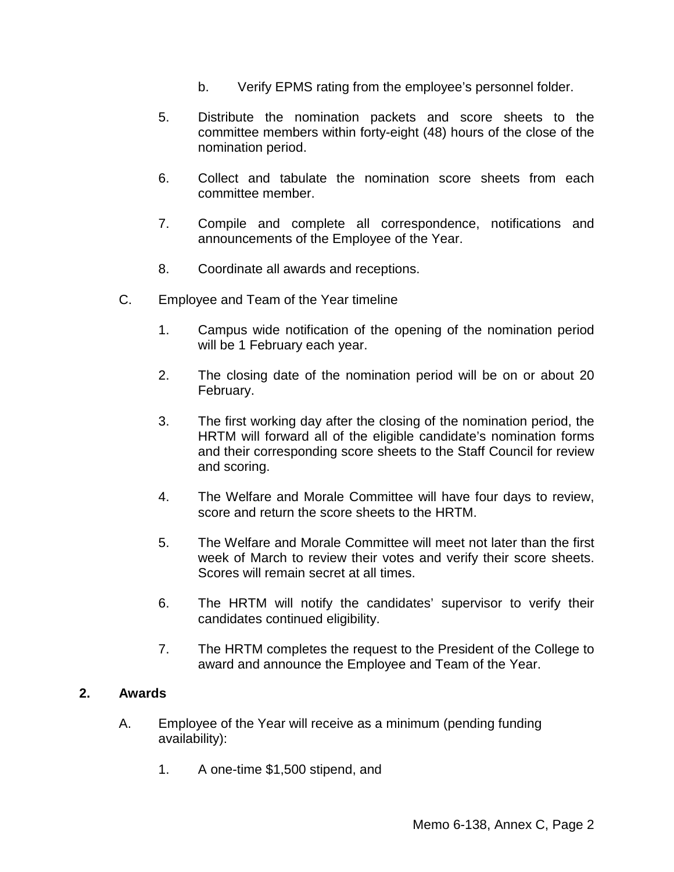- b. Verify EPMS rating from the employee's personnel folder.
- 5. Distribute the nomination packets and score sheets to the committee members within forty-eight (48) hours of the close of the nomination period.
- 6. Collect and tabulate the nomination score sheets from each committee member.
- 7. Compile and complete all correspondence, notifications and announcements of the Employee of the Year.
- 8. Coordinate all awards and receptions.
- C. Employee and Team of the Year timeline
	- 1. Campus wide notification of the opening of the nomination period will be 1 February each year.
	- 2. The closing date of the nomination period will be on or about 20 February.
	- 3. The first working day after the closing of the nomination period, the HRTM will forward all of the eligible candidate's nomination forms and their corresponding score sheets to the Staff Council for review and scoring.
	- 4. The Welfare and Morale Committee will have four days to review, score and return the score sheets to the HRTM.
	- 5. The Welfare and Morale Committee will meet not later than the first week of March to review their votes and verify their score sheets. Scores will remain secret at all times.
	- 6. The HRTM will notify the candidates' supervisor to verify their candidates continued eligibility.
	- 7. The HRTM completes the request to the President of the College to award and announce the Employee and Team of the Year.

#### **2. Awards**

- A. Employee of the Year will receive as a minimum (pending funding availability):
	- 1. A one-time \$1,500 stipend, and